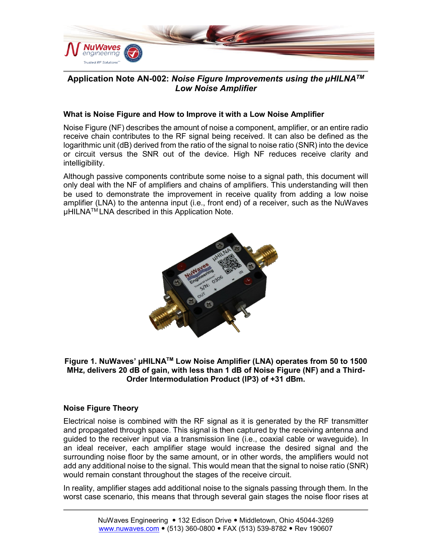

# **Application Note AN-002:** *Noise Figure Improvements using the µHILNATM Low Noise Amplifier*

### **What is Noise Figure and How to Improve it with a Low Noise Amplifier**

Noise Figure (NF) describes the amount of noise a component, amplifier, or an entire radio receive chain contributes to the RF signal being received. It can also be defined as the logarithmic unit (dB) derived from the ratio of the signal to noise ratio (SNR) into the device or circuit versus the SNR out of the device. High NF reduces receive clarity and intelligibility.

Although passive components contribute some noise to a signal path, this document will only deal with the NF of amplifiers and chains of amplifiers. This understanding will then be used to demonstrate the improvement in receive quality from adding a low noise amplifier (LNA) to the antenna input (i.e., front end) of a receiver, such as the NuWaves  $\mu$ HILNA<sup>TM</sup> LNA described in this Application Note.



**Figure 1. NuWaves' µHILNATM Low Noise Amplifier (LNA) operates from 50 to 1500 MHz, delivers 20 dB of gain, with less than 1 dB of Noise Figure (NF) and a Third-Order Intermodulation Product (IP3) of +31 dBm.**

### **Noise Figure Theory**

Electrical noise is combined with the RF signal as it is generated by the RF transmitter and propagated through space. This signal is then captured by the receiving antenna and guided to the receiver input via a transmission line (i.e., coaxial cable or waveguide). In an ideal receiver, each amplifier stage would increase the desired signal and the surrounding noise floor by the same amount, or in other words, the amplifiers would not add any additional noise to the signal. This would mean that the signal to noise ratio (SNR) would remain constant throughout the stages of the receive circuit.

In reality, amplifier stages add additional noise to the signals passing through them. In the worst case scenario, this means that through several gain stages the noise floor rises at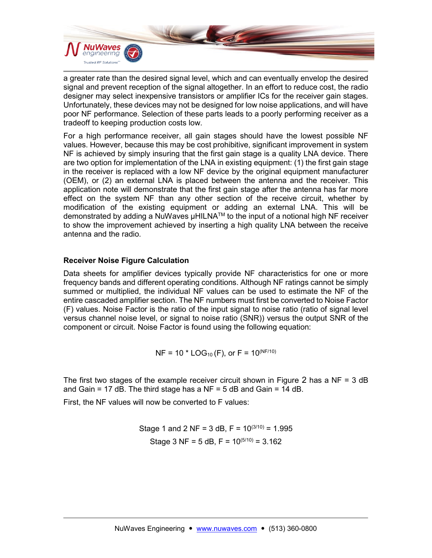

a greater rate than the desired signal level, which and can eventually envelop the desired signal and prevent reception of the signal altogether. In an effort to reduce cost, the radio designer may select inexpensive transistors or amplifier ICs for the receiver gain stages. Unfortunately, these devices may not be designed for low noise applications, and will have poor NF performance. Selection of these parts leads to a poorly performing receiver as a tradeoff to keeping production costs low.

For a high performance receiver, all gain stages should have the lowest possible NF values. However, because this may be cost prohibitive, significant improvement in system NF is achieved by simply insuring that the first gain stage is a quality LNA device. There are two option for implementation of the LNA in existing equipment: (1) the first gain stage in the receiver is replaced with a low NF device by the original equipment manufacturer (OEM), or (2) an external LNA is placed between the antenna and the receiver. This application note will demonstrate that the first gain stage after the antenna has far more effect on the system NF than any other section of the receive circuit, whether by modification of the existing equipment or adding an external LNA. This will be demonstrated by adding a NuWaves µHILNA™ to the input of a notional high NF receiver to show the improvement achieved by inserting a high quality LNA between the receive antenna and the radio.

### **Receiver Noise Figure Calculation**

Data sheets for amplifier devices typically provide NF characteristics for one or more frequency bands and different operating conditions. Although NF ratings cannot be simply summed or multiplied, the individual NF values can be used to estimate the NF of the entire cascaded amplifier section. The NF numbers must first be converted to Noise Factor (F) values. Noise Factor is the ratio of the input signal to noise ratio (ratio of signal level versus channel noise level, or signal to noise ratio (SNR)) versus the output SNR of the component or circuit. Noise Factor is found using the following equation:

$$
NF = 10 * LOG_{10}(F)
$$
, or  $F = 10^{(NF/10)}$ 

The first two stages of the example receiver circuit shown in [Figure](#page-2-0) 2 has a  $NF = 3$  dB and Gain = 17 dB. The third stage has a  $NF = 5$  dB and Gain = 14 dB.

First, the NF values will now be converted to F values:

Stage 1 and 2 NF = 3 dB, F =  $10^{(3/10)}$  = 1.995 Stage 3 NF = 5 dB, F =  $10^{(5/10)}$  = 3.162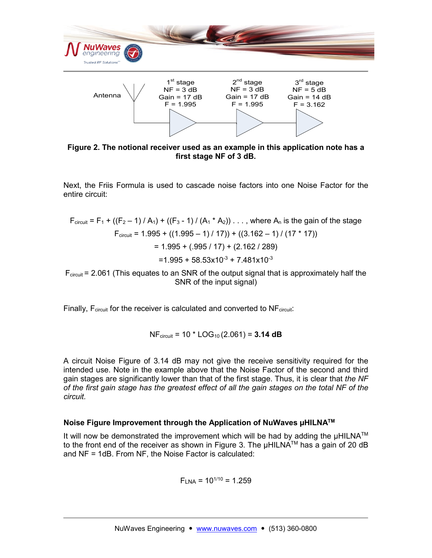

**Figure 2. The notional receiver used as an example in this application note has a first stage NF of 3 dB.**

<span id="page-2-0"></span>Next, the Friis Formula is used to cascade noise factors into one Noise Factor for the entire circuit:

$$
F_{\text{circuit}} = F_1 + ((F_2 - 1) / A_1) + ((F_3 - 1) / (A_1 * A_2)) \dots, \text{ where } A_n \text{ is the gain of the stage}
$$
  
\n
$$
F_{\text{circuit}} = 1.995 + ((1.995 - 1) / 17)) + ((3.162 - 1) / (17 * 17))
$$
  
\n
$$
= 1.995 + (0.995 / 17) + (2.162 / 289)
$$
  
\n
$$
= 1.995 + 58.53 \times 10^{-3} + 7.481 \times 10^{-3}
$$

 $F_{circuit}$  = 2.061 (This equates to an SNR of the output signal that is approximately half the SNR of the input signal)

Finally,  $F_{circuit}$  for the receiver is calculated and converted to  $NF_{circuit}$ :

NFcircuit = 10 \* LOG10 (2.061) = **3.14 dB**

A circuit Noise Figure of 3.14 dB may not give the receive sensitivity required for the intended use. Note in the example above that the Noise Factor of the second and third gain stages are significantly lower than that of the first stage. Thus, it is clear that *the NF of the first gain stage has the greatest effect of all the gain stages on the total NF of the circuit.*

### **Noise Figure Improvement through the Application of NuWaves µHILNATM**

It will now be demonstrated the improvement which will be had by adding the  $\mu HILNA^{TM}$ to the front end of the receiver as shown in [Figure 3.](#page-3-0) The µHILNA™ has a gain of 20 dB and NF = 1dB. From NF, the Noise Factor is calculated:

 $F<sub>LNA</sub> = 10<sup>1/10</sup> = 1.259$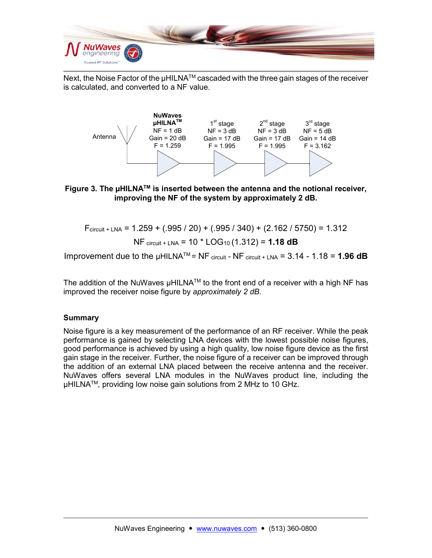

Next, the Noise Factor of the µHILNA<sup>™</sup> cascaded with the three gain stages of the receiver is calculated, and converted to a NF value.



## <span id="page-3-0"></span>**Figure 3. The µHILNATM is inserted between the antenna and the notional receiver, improving the NF of the system by approximately 2 dB.**

$$
F_{\text{circuit} + \text{LNA}} = 1.259 + (.995 / 20) + (.995 / 340) + (2.162 / 5750) = 1.312
$$

$$
NF_{\text{circuit} + \text{LNA}} = 10 \times \text{LOG}_{10}(1.312) = 1.18 \text{ dB}
$$

Improvement due to the  $\mu$ HILNA<sup>TM</sup> = NF circuit - NF circuit + LNA = 3.14 - 1.18 = **1.96 dB** 

The addition of the NuWaves  $\mu HILNA^{TM}$  to the front end of a receiver with a high NF has improved the receiver noise figure by *approximately 2 dB*.

### **Summary**

Noise figure is a key measurement of the performance of an RF receiver. While the peak performance is gained by selecting LNA devices with the lowest possible noise figures, good performance is achieved by using a high quality, low noise figure device as the first gain stage in the receiver. Further, the noise figure of a receiver can be improved through the addition of an external LNA placed between the receive antenna and the receiver. NuWaves offers several LNA modules in the NuWaves product line, including the uHILNA™, providing low noise gain solutions from 2 MHz to 10 GHz.